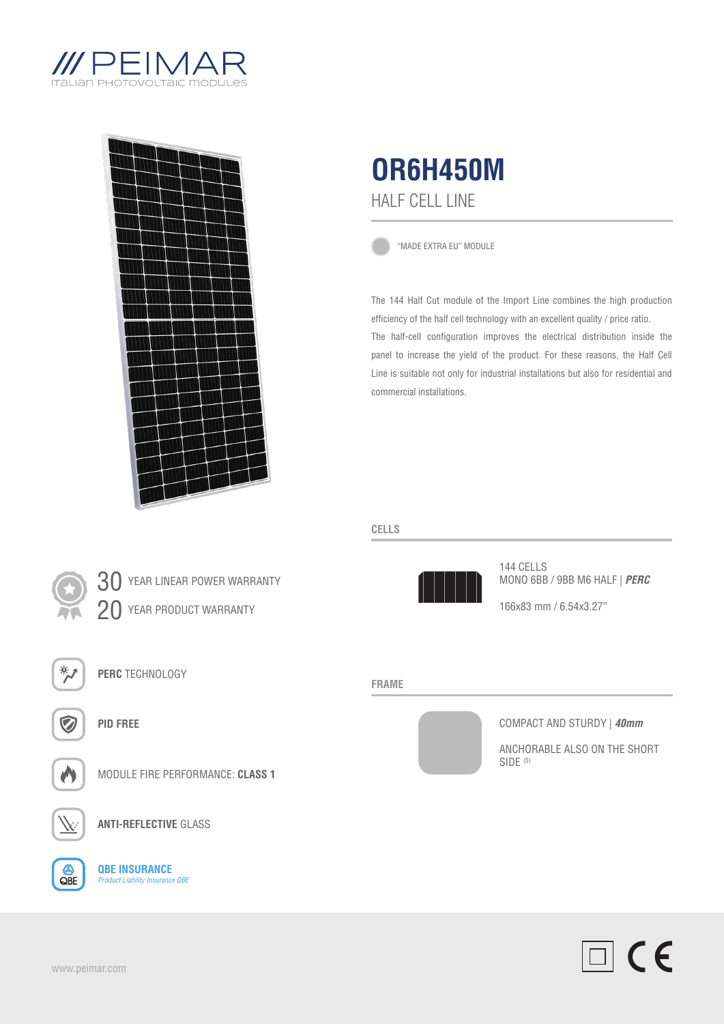



30 YEAR LINEAR POWER WARRANTY

20 YEAR PRODUCT WARRANTY



"MADE EXTRA EU" MODULE

The 144 Half Cut module of the Import Line combines the high production efficiency of the half cell technology with an excellent quality / price ratio. The half-cell configuration improves the electrical distribution inside the panel to increase the yield of the product. For these reasons, the Half Cell Line is suitable not only for industrial installations but also for residential and commercial installations.

# **CELLS**



144 CELLS MONO 6BB / 9BB M6 HALF | *PERC*

166x83 mm / 6.54x3.27"

### **FRAME**



COMPACT AND STURDY | *40mm*

ANCHORABLE ALSO ON THE SHORT  $SIDE$ <sup> $(5)$ </sup>



**ANTI-REFLECTIVE** GLASS

MODULE FIRE PERFORMANCE: **CLASS 1**

A  $QBE$ 

**QBE INSURANCE** *Product Liability Insurance QBE*

**PERC** TECHNOLOGY

**PID FREE**

 $\Box$  CE